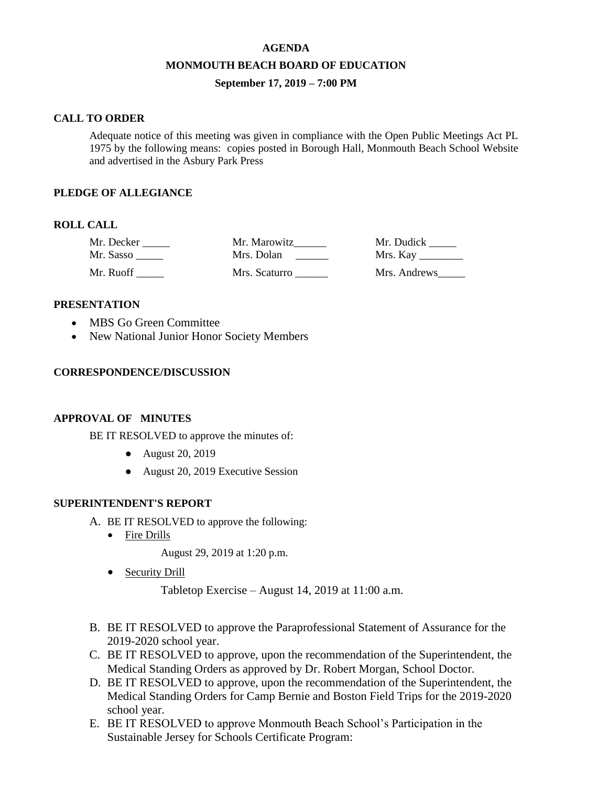# **AGENDA MONMOUTH BEACH BOARD OF EDUCATION September 17, 2019 – 7:00 PM**

#### **CALL TO ORDER**

Adequate notice of this meeting was given in compliance with the Open Public Meetings Act PL 1975 by the following means: copies posted in Borough Hall, Monmouth Beach School Website and advertised in the Asbury Park Press

#### **PLEDGE OF ALLEGIANCE**

## **ROLL CALL**

| Mr. Decker | Mr. Marowitz  | Mr. Dudick          |
|------------|---------------|---------------------|
| Mr. Sasso  | Mrs. Dolan    | Mrs. Kay __________ |
| Mr. Ruoff  | Mrs. Scaturro | Mrs. Andrews        |

#### **PRESENTATION**

- MBS Go Green Committee
- New National Junior Honor Society Members

#### **CORRESPONDENCE/DISCUSSION**

#### **APPROVAL OF MINUTES**

BE IT RESOLVED to approve the minutes of:

- August 20, 2019
- August 20, 2019 Executive Session

#### **SUPERINTENDENT'S REPORT**

- A. BE IT RESOLVED to approve the following:
	- Fire Drills

August 29, 2019 at 1:20 p.m.

• Security Drill

Tabletop Exercise – August 14, 2019 at 11:00 a.m.

- B. BE IT RESOLVED to approve the Paraprofessional Statement of Assurance for the 2019-2020 school year.
- C. BE IT RESOLVED to approve, upon the recommendation of the Superintendent, the Medical Standing Orders as approved by Dr. Robert Morgan, School Doctor.
- D. BE IT RESOLVED to approve, upon the recommendation of the Superintendent, the Medical Standing Orders for Camp Bernie and Boston Field Trips for the 2019-2020 school year.
- E. BE IT RESOLVED to approve Monmouth Beach School's Participation in the Sustainable Jersey for Schools Certificate Program: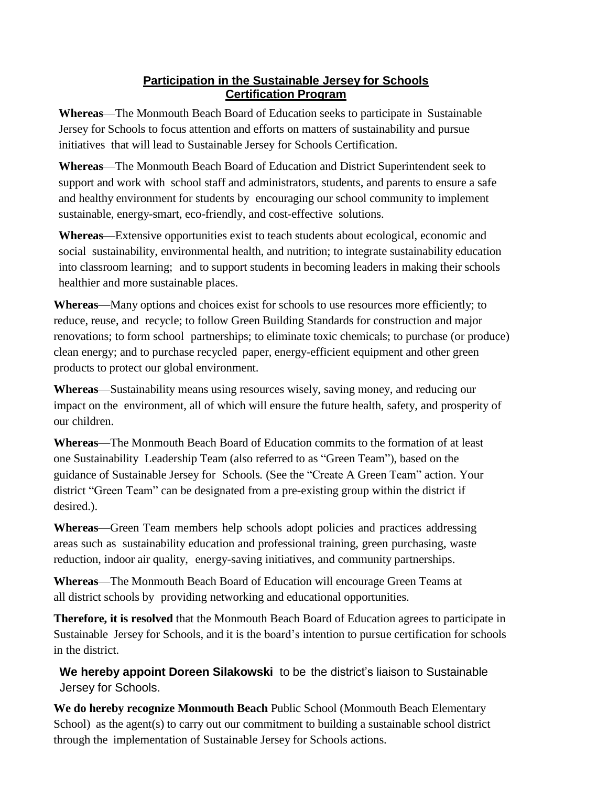## **Participation in the Sustainable Jersey for Schools Certification Program**

**Whereas**—The Monmouth Beach Board of Education seeks to participate in Sustainable Jersey for Schools to focus attention and efforts on matters of sustainability and pursue initiatives that will lead to Sustainable Jersey for Schools Certification.

**Whereas**—The Monmouth Beach Board of Education and District Superintendent seek to support and work with school staff and administrators, students, and parents to ensure a safe and healthy environment for students by encouraging our school community to implement sustainable, energy-smart, eco-friendly, and cost-effective solutions.

**Whereas**—Extensive opportunities exist to teach students about ecological, economic and social sustainability, environmental health, and nutrition; to integrate sustainability education into classroom learning; and to support students in becoming leaders in making their schools healthier and more sustainable places.

**Whereas**—Many options and choices exist for schools to use resources more efficiently; to reduce, reuse, and recycle; to follow Green Building Standards for construction and major renovations; to form school partnerships; to eliminate toxic chemicals; to purchase (or produce) clean energy; and to purchase recycled paper, energy-efficient equipment and other green products to protect our global environment.

**Whereas**—Sustainability means using resources wisely, saving money, and reducing our impact on the environment, all of which will ensure the future health, safety, and prosperity of our children.

**Whereas**—The Monmouth Beach Board of Education commits to the formation of at least one Sustainability Leadership Team (also referred to as "Green Team"), based on the guidance of Sustainable Jersey for Schools*.* (See the "Create A Green Team" action. Your district "Green Team" can be designated from a pre-existing group within the district if desired.).

**Whereas**—Green Team members help schools adopt policies and practices addressing areas such as sustainability education and professional training, green purchasing, waste reduction, indoor air quality, energy-saving initiatives, and community partnerships.

**Whereas**—The Monmouth Beach Board of Education will encourage Green Teams at all district schools by providing networking and educational opportunities.

**Therefore, it is resolved** that the Monmouth Beach Board of Education agrees to participate in Sustainable Jersey for Schools, and it is the board's intention to pursue certification for schools in the district.

**We hereby appoint Doreen Silakowski** to be the district's liaison to Sustainable Jersey for Schools.

**We do hereby recognize Monmouth Beach** Public School (Monmouth Beach Elementary School) as the agent(s) to carry out our commitment to building a sustainable school district through the implementation of Sustainable Jersey for Schools actions.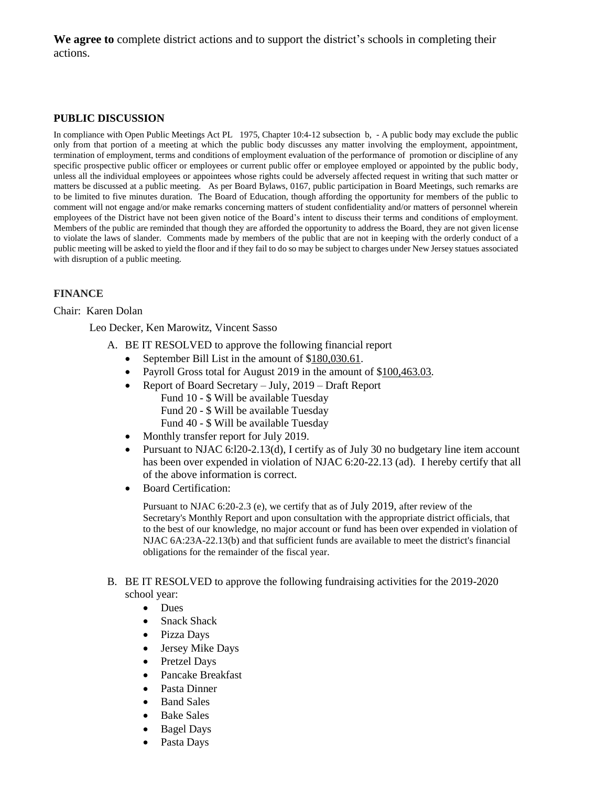**We agree to** complete district actions and to support the district's schools in completing their actions.

#### **PUBLIC DISCUSSION**

In compliance with Open Public Meetings Act PL 1975, Chapter 10:4-12 subsection b, - A public body may exclude the public only from that portion of a meeting at which the public body discusses any matter involving the employment, appointment, termination of employment, terms and conditions of employment evaluation of the performance of promotion or discipline of any specific prospective public officer or employees or current public offer or employee employed or appointed by the public body, unless all the individual employees or appointees whose rights could be adversely affected request in writing that such matter or matters be discussed at a public meeting. As per Board Bylaws, 0167, public participation in Board Meetings, such remarks are to be limited to five minutes duration. The Board of Education, though affording the opportunity for members of the public to comment will not engage and/or make remarks concerning matters of student confidentiality and/or matters of personnel wherein employees of the District have not been given notice of the Board's intent to discuss their terms and conditions of employment. Members of the public are reminded that though they are afforded the opportunity to address the Board, they are not given license to violate the laws of slander. Comments made by members of the public that are not in keeping with the orderly conduct of a public meeting will be asked to yield the floor and if they fail to do so may be subject to charges under New Jersey statues associated with disruption of a public meeting.

#### **FINANCE**

#### Chair: Karen Dolan

Leo Decker, Ken Marowitz, Vincent Sasso

- A. BE IT RESOLVED to approve the following financial report
	- September Bill List in the amount of \$180,030.61.
	- Payroll Gross total for August 2019 in the amount of \$100,463.03.
	- Report of Board Secretary July, 2019 Draft Report
		- Fund 10 \$ Will be available Tuesday Fund 20 - \$ Will be available Tuesday
		- Fund 40 \$ Will be available Tuesday
	- Monthly transfer report for July 2019.
	- Pursuant to NJAC 6:120-2.13(d), I certify as of July 30 no budgetary line item account has been over expended in violation of NJAC 6:20-22.13 (ad). I hereby certify that all of the above information is correct.
	- Board Certification:

Pursuant to NJAC 6:20-2.3 (e), we certify that as of July 2019, after review of the Secretary's Monthly Report and upon consultation with the appropriate district officials, that to the best of our knowledge, no major account or fund has been over expended in violation of NJAC 6A:23A-22.13(b) and that sufficient funds are available to meet the district's financial obligations for the remainder of the fiscal year.

#### B. BE IT RESOLVED to approve the following fundraising activities for the 2019-2020 school year:

- Dues
- Snack Shack
- Pizza Days
- Jersey Mike Days
- Pretzel Days
- Pancake Breakfast
- Pasta Dinner
- Band Sales
- Bake Sales
- Bagel Days
- Pasta Days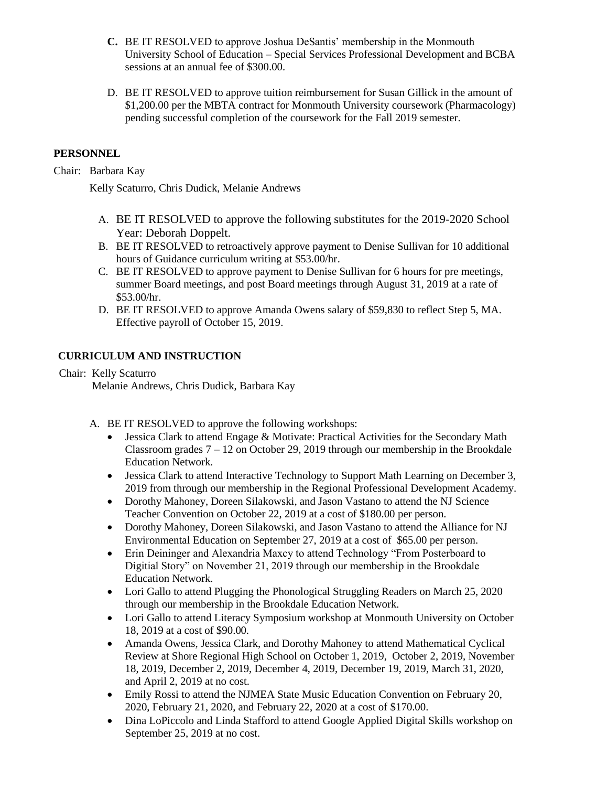- **C.** BE IT RESOLVED to approve Joshua DeSantis' membership in the Monmouth University School of Education – Special Services Professional Development and BCBA sessions at an annual fee of \$300.00.
- D. BE IT RESOLVED to approve tuition reimbursement for Susan Gillick in the amount of \$1,200.00 per the MBTA contract for Monmouth University coursework (Pharmacology) pending successful completion of the coursework for the Fall 2019 semester.

## **PERSONNEL**

Chair: Barbara Kay

Kelly Scaturro, Chris Dudick, Melanie Andrews

- A. BE IT RESOLVED to approve the following substitutes for the 2019-2020 School Year: Deborah Doppelt.
- B. BE IT RESOLVED to retroactively approve payment to Denise Sullivan for 10 additional hours of Guidance curriculum writing at \$53.00/hr.
- C. BE IT RESOLVED to approve payment to Denise Sullivan for 6 hours for pre meetings, summer Board meetings, and post Board meetings through August 31, 2019 at a rate of \$53.00/hr.
- D. BE IT RESOLVED to approve Amanda Owens salary of \$59,830 to reflect Step 5, MA. Effective payroll of October 15, 2019.

#### **CURRICULUM AND INSTRUCTION**

Chair: Kelly Scaturro Melanie Andrews, Chris Dudick, Barbara Kay

- A. BE IT RESOLVED to approve the following workshops:
	- Jessica Clark to attend Engage & Motivate: Practical Activities for the Secondary Math Classroom grades  $7 - 12$  on October 29, 2019 through our membership in the Brookdale Education Network.
	- Jessica Clark to attend Interactive Technology to Support Math Learning on December 3, 2019 from through our membership in the Regional Professional Development Academy.
	- Dorothy Mahoney, Doreen Silakowski, and Jason Vastano to attend the NJ Science Teacher Convention on October 22, 2019 at a cost of \$180.00 per person.
	- Dorothy Mahoney, Doreen Silakowski, and Jason Vastano to attend the Alliance for NJ Environmental Education on September 27, 2019 at a cost of \$65.00 per person.
	- Erin Deininger and Alexandria Maxcy to attend Technology "From Posterboard to Digitial Story" on November 21, 2019 through our membership in the Brookdale Education Network.
	- Lori Gallo to attend Plugging the Phonological Struggling Readers on March 25, 2020 through our membership in the Brookdale Education Network.
	- Lori Gallo to attend Literacy Symposium workshop at Monmouth University on October 18, 2019 at a cost of \$90.00.
	- Amanda Owens, Jessica Clark, and Dorothy Mahoney to attend Mathematical Cyclical Review at Shore Regional High School on October 1, 2019, October 2, 2019, November 18, 2019, December 2, 2019, December 4, 2019, December 19, 2019, March 31, 2020, and April 2, 2019 at no cost.
	- Emily Rossi to attend the NJMEA State Music Education Convention on February 20, 2020, February 21, 2020, and February 22, 2020 at a cost of \$170.00.
	- Dina LoPiccolo and Linda Stafford to attend Google Applied Digital Skills workshop on September 25, 2019 at no cost.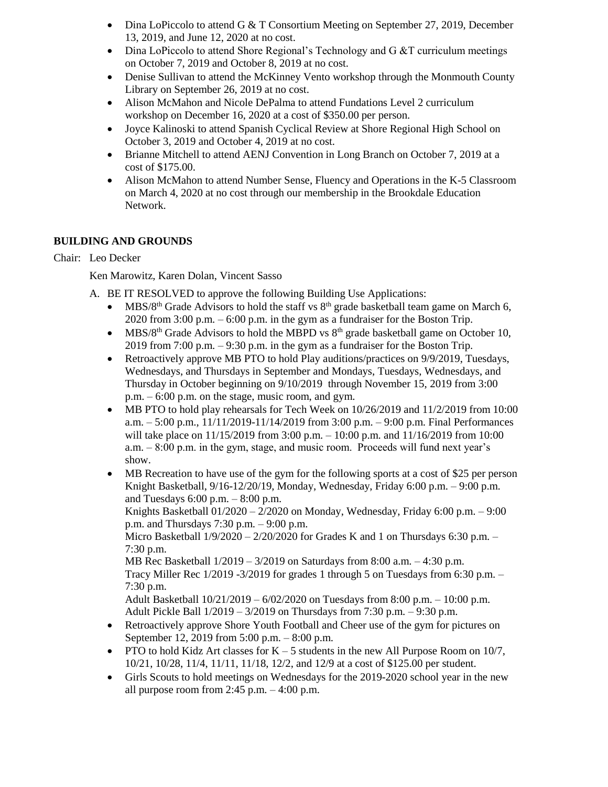- Dina LoPiccolo to attend G & T Consortium Meeting on September 27, 2019, December 13, 2019, and June 12, 2020 at no cost.
- $\bullet$  Dina LoPiccolo to attend Shore Regional's Technology and G &T curriculum meetings on October 7, 2019 and October 8, 2019 at no cost.
- Denise Sullivan to attend the McKinney Vento workshop through the Monmouth County Library on September 26, 2019 at no cost.
- Alison McMahon and Nicole DePalma to attend Fundations Level 2 curriculum workshop on December 16, 2020 at a cost of \$350.00 per person.
- Joyce Kalinoski to attend Spanish Cyclical Review at Shore Regional High School on October 3, 2019 and October 4, 2019 at no cost.
- Brianne Mitchell to attend AENJ Convention in Long Branch on October 7, 2019 at a cost of \$175.00.
- Alison McMahon to attend Number Sense, Fluency and Operations in the K-5 Classroom on March 4, 2020 at no cost through our membership in the Brookdale Education Network.

## **BUILDING AND GROUNDS**

## Chair: Leo Decker

Ken Marowitz, Karen Dolan, Vincent Sasso

- A. BE IT RESOLVED to approve the following Building Use Applications:
	- MBS/8<sup>th</sup> Grade Advisors to hold the staff vs  $8<sup>th</sup>$  grade basketball team game on March 6, 2020 from 3:00 p.m. – 6:00 p.m. in the gym as a fundraiser for the Boston Trip.
	- MBS/8<sup>th</sup> Grade Advisors to hold the MBPD vs  $8<sup>th</sup>$  grade basketball game on October 10, 2019 from 7:00 p.m. – 9:30 p.m. in the gym as a fundraiser for the Boston Trip.
	- Retroactively approve MB PTO to hold Play auditions/practices on 9/9/2019, Tuesdays, Wednesdays, and Thursdays in September and Mondays, Tuesdays, Wednesdays, and Thursday in October beginning on 9/10/2019 through November 15, 2019 from 3:00 p.m. – 6:00 p.m. on the stage, music room, and gym.
	- MB PTO to hold play rehearsals for Tech Week on 10/26/2019 and 11/2/2019 from 10:00 a.m. – 5:00 p.m., 11/11/2019-11/14/2019 from 3:00 p.m. – 9:00 p.m. Final Performances will take place on 11/15/2019 from 3:00 p.m. – 10:00 p.m. and 11/16/2019 from 10:00 a.m. – 8:00 p.m. in the gym, stage, and music room. Proceeds will fund next year's show.
	- MB Recreation to have use of the gym for the following sports at a cost of \$25 per person Knight Basketball, 9/16-12/20/19, Monday, Wednesday, Friday 6:00 p.m. – 9:00 p.m. and Tuesdays 6:00 p.m. – 8:00 p.m.

Knights Basketball  $01/2020 - 2/2020$  on Monday, Wednesday, Friday 6:00 p.m.  $-9:00$ p.m. and Thursdays 7:30 p.m. – 9:00 p.m.

Micro Basketball  $1/9/2020 - 2/20/2020$  for Grades K and 1 on Thursdays 6:30 p.m. – 7:30 p.m.

MB Rec Basketball 1/2019 – 3/2019 on Saturdays from 8:00 a.m. – 4:30 p.m. Tracy Miller Rec 1/2019 -3/2019 for grades 1 through 5 on Tuesdays from 6:30 p.m. – 7:30 p.m.

Adult Basketball 10/21/2019 – 6/02/2020 on Tuesdays from 8:00 p.m. – 10:00 p.m. Adult Pickle Ball 1/2019 – 3/2019 on Thursdays from 7:30 p.m. – 9:30 p.m.

- Retroactively approve Shore Youth Football and Cheer use of the gym for pictures on September 12, 2019 from 5:00 p.m. – 8:00 p.m.
- PTO to hold Kidz Art classes for  $K 5$  students in the new All Purpose Room on 10/7, 10/21, 10/28, 11/4, 11/11, 11/18, 12/2, and 12/9 at a cost of \$125.00 per student.
- Girls Scouts to hold meetings on Wednesdays for the 2019-2020 school year in the new all purpose room from  $2:45$  p.m.  $-4:00$  p.m.